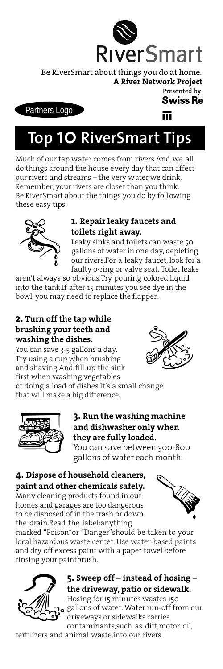

Be RiverSmart about things you do at home. **A [River Network P](http://www.rivernetwork.org)roject** Presented by:

**Swiss Re** 

#### Partners Logo

而

# **Top 10 RiverSmart Tips**

Much of our tap water comes from rivers.And we all do things around the house every day that can affect our rivers and streams – the very water we drink. Remember, your rivers are closer than you think. Be RiverSmart about the things you do by following these easy tips:



#### **1. Repair leaky faucets and toilets right away.**

Leaky sinks and toilets can waste 50 gallons of water in one day, depleting our rivers.For a leaky faucet, look for a faulty o-ring or valve seat. Toilet leaks

aren't always so obvious.Try pouring colored liquid into the tank.If after 15 minutes you see dye in the bowl, you may need to replace the flapper.

## **2. Turn off the tap while brushing your teeth and washing the dishes.**

You can save 3-5 gallons a day. Try using a cup when brushing and shaving.And fill up the sink first when washing vegetables or doing a load of dishes.It's a small change that will make a big difference.



# **3. Run the washing machine and dishwasher only when they are fully loaded.**

You can save between 300-800 gallons of water each month.

# **4. Dispose of household cleaners,**

**paint and other chemicals safely.** Many cleaning products found in our homes and garages are too dangerous to be disposed of in the trash or down the drain.Read the label:anything



marked "Poison"or "Danger"should be taken to your local hazardous waste center. Use water-based paints and dry off excess paint with a paper towel before rinsing your paintbrush.



# **5. Sweep off – instead of hosing – the driveway, patio or sidewalk.**

Hosing for 15 minutes wastes 150 gallons of water. Water run-off from our driveways or sidewalks carries contaminants,such as dirt,motor oil,

fertilizers and animal waste,into our rivers.